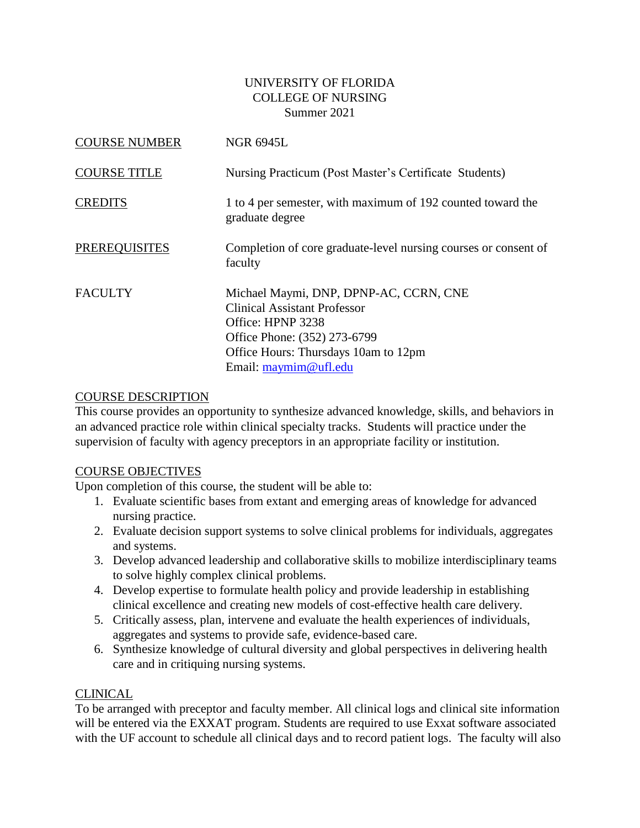### UNIVERSITY OF FLORIDA COLLEGE OF NURSING Summer 2021

| <b>COURSE NUMBER</b> | <b>NGR 6945L</b>                                                                                                                                                                                    |
|----------------------|-----------------------------------------------------------------------------------------------------------------------------------------------------------------------------------------------------|
| <b>COURSE TITLE</b>  | Nursing Practicum (Post Master's Certificate Students)                                                                                                                                              |
| <b>CREDITS</b>       | 1 to 4 per semester, with maximum of 192 counted toward the<br>graduate degree                                                                                                                      |
| <b>PREREQUISITES</b> | Completion of core graduate-level nursing courses or consent of<br>faculty                                                                                                                          |
| <b>FACULTY</b>       | Michael Maymi, DNP, DPNP-AC, CCRN, CNE<br><b>Clinical Assistant Professor</b><br>Office: HPNP 3238<br>Office Phone: (352) 273-6799<br>Office Hours: Thursdays 10am to 12pm<br>Email: maymim@ufl.edu |

### COURSE DESCRIPTION

This course provides an opportunity to synthesize advanced knowledge, skills, and behaviors in an advanced practice role within clinical specialty tracks. Students will practice under the supervision of faculty with agency preceptors in an appropriate facility or institution.

#### COURSE OBJECTIVES

Upon completion of this course, the student will be able to:

- 1. Evaluate scientific bases from extant and emerging areas of knowledge for advanced nursing practice.
- 2. Evaluate decision support systems to solve clinical problems for individuals, aggregates and systems.
- 3. Develop advanced leadership and collaborative skills to mobilize interdisciplinary teams to solve highly complex clinical problems.
- 4. Develop expertise to formulate health policy and provide leadership in establishing clinical excellence and creating new models of cost-effective health care delivery.
- 5. Critically assess, plan, intervene and evaluate the health experiences of individuals, aggregates and systems to provide safe, evidence-based care.
- 6. Synthesize knowledge of cultural diversity and global perspectives in delivering health care and in critiquing nursing systems.

## CLINICAL

To be arranged with preceptor and faculty member. All clinical logs and clinical site information will be entered via the EXXAT program. Students are required to use Exxat software associated with the UF account to schedule all clinical days and to record patient logs. The faculty will also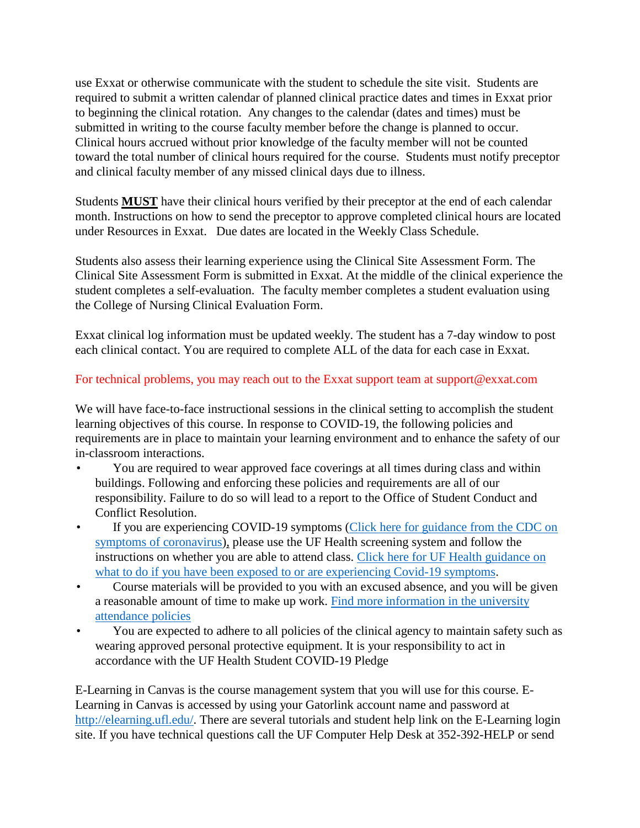use Exxat or otherwise communicate with the student to schedule the site visit. Students are required to submit a written calendar of planned clinical practice dates and times in Exxat prior to beginning the clinical rotation. Any changes to the calendar (dates and times) must be submitted in writing to the course faculty member before the change is planned to occur. Clinical hours accrued without prior knowledge of the faculty member will not be counted toward the total number of clinical hours required for the course. Students must notify preceptor and clinical faculty member of any missed clinical days due to illness.

Students **MUST** have their clinical hours verified by their preceptor at the end of each calendar month. Instructions on how to send the preceptor to approve completed clinical hours are located under Resources in Exxat. Due dates are located in the Weekly Class Schedule.

Students also assess their learning experience using the Clinical Site Assessment Form. The Clinical Site Assessment Form is submitted in Exxat. At the middle of the clinical experience the student completes a self-evaluation. The faculty member completes a student evaluation using the College of Nursing Clinical Evaluation Form.

Exxat clinical log information must be updated weekly. The student has a 7-day window to post each clinical contact. You are required to complete ALL of the data for each case in Exxat.

## For technical problems, you may reach out to the Exxat support team at support@exxat.com

We will have face-to-face instructional sessions in the clinical setting to accomplish the student learning objectives of this course. In response to COVID-19, the following policies and requirements are in place to maintain your learning environment and to enhance the safety of our in-classroom interactions.

- You are required to wear approved face coverings at all times during class and within buildings. Following and enforcing these policies and requirements are all of our responsibility. Failure to do so will lead to a report to the Office of Student Conduct and Conflict Resolution.
- If you are experiencing COVID-19 symptoms (Click here for guidance from the CDC on [symptoms of coronavirus\)](https://www.cdc.gov/coronavirus/2019-ncov/symptoms-testing/symptoms.html), please use the UF Health screening system and follow the instructions on whether you are able to attend class. [Click here for UF Health guidance on](https://coronavirus.ufhealth.org/screen-test-protect/covid-19-exposure-and-symptoms-who-do-i-call-if/)  [what to do if you have been exposed to or are experiencing Covid-19 symptoms.](https://coronavirus.ufhealth.org/screen-test-protect/covid-19-exposure-and-symptoms-who-do-i-call-if/)
- Course materials will be provided to you with an excused absence, and you will be given a reasonable amount of time to make up work. [Find more information in the university](https://catalog.ufl.edu/UGRD/academic-regulations/attendance-policies/)  [attendance policies](https://catalog.ufl.edu/UGRD/academic-regulations/attendance-policies/)
- You are expected to adhere to all policies of the clinical agency to maintain safety such as wearing approved personal protective equipment. It is your responsibility to act in accordance with the UF Health Student COVID-19 Pledge

E-Learning in Canvas is the course management system that you will use for this course. E-Learning in Canvas is accessed by using your Gatorlink account name and password at [http://elearning.ufl.edu/.](http://elearning.ufl.edu/) There are several tutorials and student help link on the E-Learning login site. If you have technical questions call the UF Computer Help Desk at 352-392-HELP or send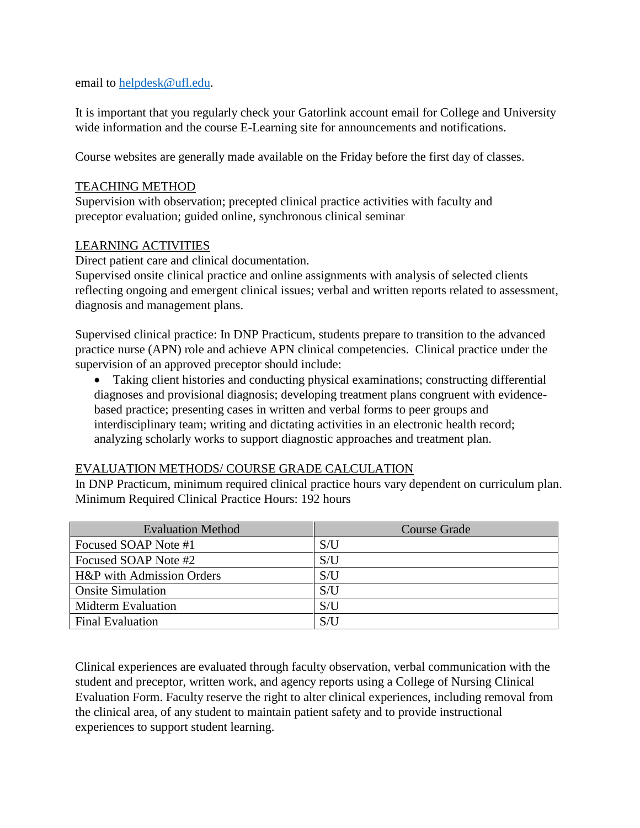email to [helpdesk@ufl.edu.](mailto:helpdesk@ufl.edu)

It is important that you regularly check your Gatorlink account email for College and University wide information and the course E-Learning site for announcements and notifications.

Course websites are generally made available on the Friday before the first day of classes.

#### TEACHING METHOD

Supervision with observation; precepted clinical practice activities with faculty and preceptor evaluation; guided online, synchronous clinical seminar

### LEARNING ACTIVITIES

Direct patient care and clinical documentation.

Supervised onsite clinical practice and online assignments with analysis of selected clients reflecting ongoing and emergent clinical issues; verbal and written reports related to assessment, diagnosis and management plans.

Supervised clinical practice: In DNP Practicum, students prepare to transition to the advanced practice nurse (APN) role and achieve APN clinical competencies. Clinical practice under the supervision of an approved preceptor should include:

• Taking client histories and conducting physical examinations; constructing differential diagnoses and provisional diagnosis; developing treatment plans congruent with evidencebased practice; presenting cases in written and verbal forms to peer groups and interdisciplinary team; writing and dictating activities in an electronic health record; analyzing scholarly works to support diagnostic approaches and treatment plan.

## EVALUATION METHODS/ COURSE GRADE CALCULATION

In DNP Practicum, minimum required clinical practice hours vary dependent on curriculum plan. Minimum Required Clinical Practice Hours: 192 hours

| <b>Evaluation Method</b>  | <b>Course Grade</b> |
|---------------------------|---------------------|
| Focused SOAP Note #1      | S/U                 |
| Focused SOAP Note #2      | S/U                 |
| H&P with Admission Orders | S/U                 |
| <b>Onsite Simulation</b>  | S/U                 |
| <b>Midterm Evaluation</b> | S/U                 |
| <b>Final Evaluation</b>   | S/U                 |

Clinical experiences are evaluated through faculty observation, verbal communication with the student and preceptor, written work, and agency reports using a College of Nursing Clinical Evaluation Form. Faculty reserve the right to alter clinical experiences, including removal from the clinical area, of any student to maintain patient safety and to provide instructional experiences to support student learning.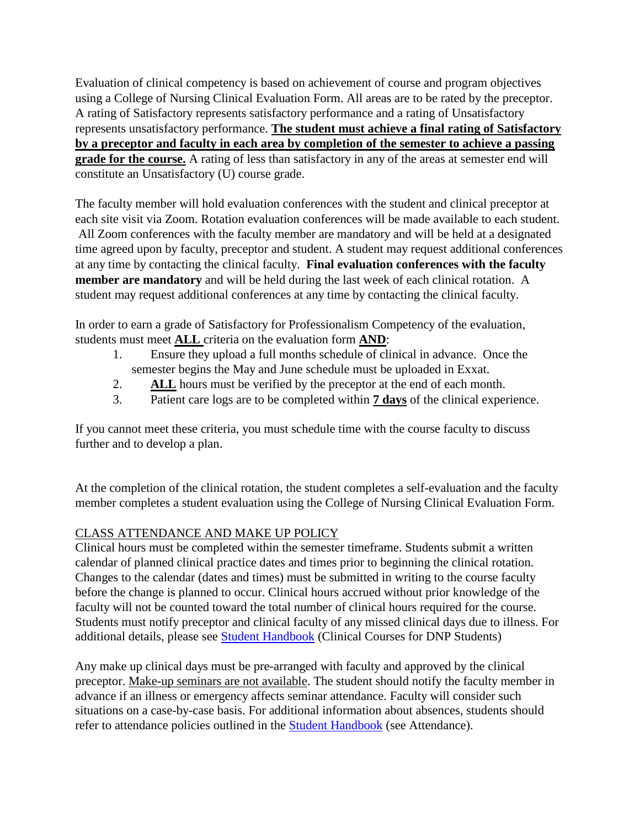Evaluation of clinical competency is based on achievement of course and program objectives using a College of Nursing Clinical Evaluation Form. All areas are to be rated by the preceptor. A rating of Satisfactory represents satisfactory performance and a rating of Unsatisfactory represents unsatisfactory performance. **The student must achieve a final rating of Satisfactory by a preceptor and faculty in each area by completion of the semester to achieve a passing grade for the course.** A rating of less than satisfactory in any of the areas at semester end will constitute an Unsatisfactory (U) course grade.

The faculty member will hold evaluation conferences with the student and clinical preceptor at each site visit via Zoom. Rotation evaluation conferences will be made available to each student. All Zoom conferences with the faculty member are mandatory and will be held at a designated time agreed upon by faculty, preceptor and student. A student may request additional conferences at any time by contacting the clinical faculty. **Final evaluation conferences with the faculty member are mandatory** and will be held during the last week of each clinical rotation. A student may request additional conferences at any time by contacting the clinical faculty.

In order to earn a grade of Satisfactory for Professionalism Competency of the evaluation, students must meet **ALL** criteria on the evaluation form **AND**:

- 1. Ensure they upload a full months schedule of clinical in advance. Once the semester begins the May and June schedule must be uploaded in Exxat.
- 2. **ALL** hours must be verified by the preceptor at the end of each month.
- 3. Patient care logs are to be completed within **7 days** of the clinical experience.

If you cannot meet these criteria, you must schedule time with the course faculty to discuss further and to develop a plan.

At the completion of the clinical rotation, the student completes a self-evaluation and the faculty member completes a student evaluation using the College of Nursing Clinical Evaluation Form.

# CLASS ATTENDANCE AND MAKE UP POLICY

Clinical hours must be completed within the semester timeframe. Students submit a written calendar of planned clinical practice dates and times prior to beginning the clinical rotation. Changes to the calendar (dates and times) must be submitted in writing to the course faculty before the change is planned to occur. Clinical hours accrued without prior knowledge of the faculty will not be counted toward the total number of clinical hours required for the course. Students must notify preceptor and clinical faculty of any missed clinical days due to illness. For additional details, please see [Student Handbook](https://nursing.ufl.edu/wordpress/files/2019/08/2019-Student-Handbook.pdf) (Clinical Courses for DNP Students)

Any make up clinical days must be pre-arranged with faculty and approved by the clinical preceptor. Make-up seminars are not available. The student should notify the faculty member in advance if an illness or emergency affects seminar attendance. Faculty will consider such situations on a case-by-case basis. For additional information about absences, students should refer to attendance policies outlined in the [Student Handbook](https://nursing.ufl.edu/wordpress/files/2019/08/2019-Student-Handbook.pdf) (see Attendance).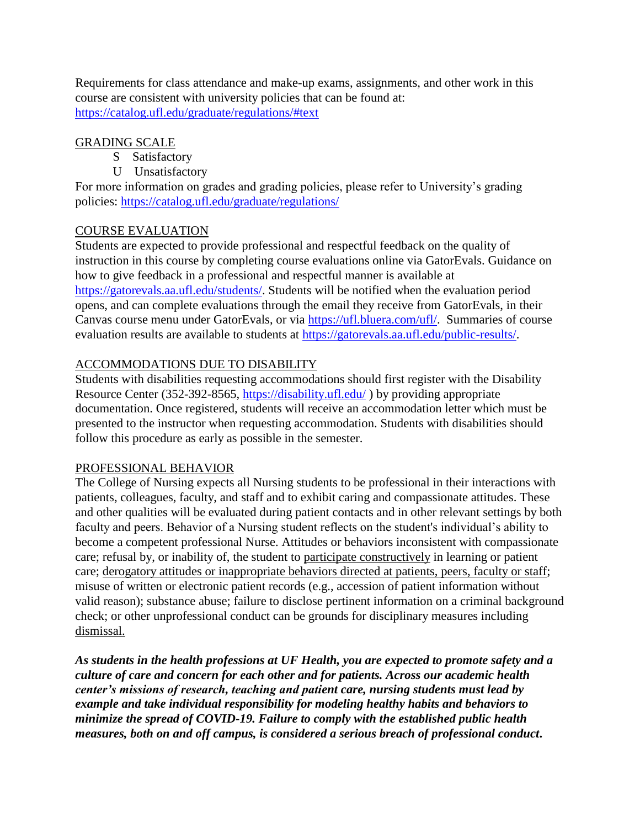Requirements for class attendance and make-up exams, assignments, and other work in this course are consistent with university policies that can be found at: <https://catalog.ufl.edu/graduate/regulations/#text>

# GRADING SCALE

- S Satisfactory
- U Unsatisfactory

For more information on grades and grading policies, please refer to University's grading policies:<https://catalog.ufl.edu/graduate/regulations/>

# COURSE EVALUATION

Students are expected to provide professional and respectful feedback on the quality of instruction in this course by completing course evaluations online via GatorEvals. Guidance on how to give feedback in a professional and respectful manner is available at [https://gatorevals.aa.ufl.edu/students/.](https://gatorevals.aa.ufl.edu/students/) Students will be notified when the evaluation period opens, and can complete evaluations through the email they receive from GatorEvals, in their Canvas course menu under GatorEvals, or via [https://ufl.bluera.com/ufl/.](https://ufl.bluera.com/ufl/) Summaries of course evaluation results are available to students at [https://gatorevals.aa.ufl.edu/public-results/.](https://gatorevals.aa.ufl.edu/public-results/)

# ACCOMMODATIONS DUE TO DISABILITY

Students with disabilities requesting accommodations should first register with the Disability Resource Center (352-392-8565,<https://disability.ufl.edu/> ) by providing appropriate documentation. Once registered, students will receive an accommodation letter which must be presented to the instructor when requesting accommodation. Students with disabilities should follow this procedure as early as possible in the semester.

## PROFESSIONAL BEHAVIOR

The College of Nursing expects all Nursing students to be professional in their interactions with patients, colleagues, faculty, and staff and to exhibit caring and compassionate attitudes. These and other qualities will be evaluated during patient contacts and in other relevant settings by both faculty and peers. Behavior of a Nursing student reflects on the student's individual's ability to become a competent professional Nurse. Attitudes or behaviors inconsistent with compassionate care; refusal by, or inability of, the student to participate constructively in learning or patient care; derogatory attitudes or inappropriate behaviors directed at patients, peers, faculty or staff; misuse of written or electronic patient records (e.g., accession of patient information without valid reason); substance abuse; failure to disclose pertinent information on a criminal background check; or other unprofessional conduct can be grounds for disciplinary measures including dismissal.

*As students in the health professions at UF Health, you are expected to promote safety and a culture of care and concern for each other and for patients. Across our academic health center's missions of research, teaching and patient care, nursing students must lead by example and take individual responsibility for modeling healthy habits and behaviors to minimize the spread of COVID-19. Failure to comply with the established public health measures, both on and off campus, is considered a serious breach of professional conduct***.**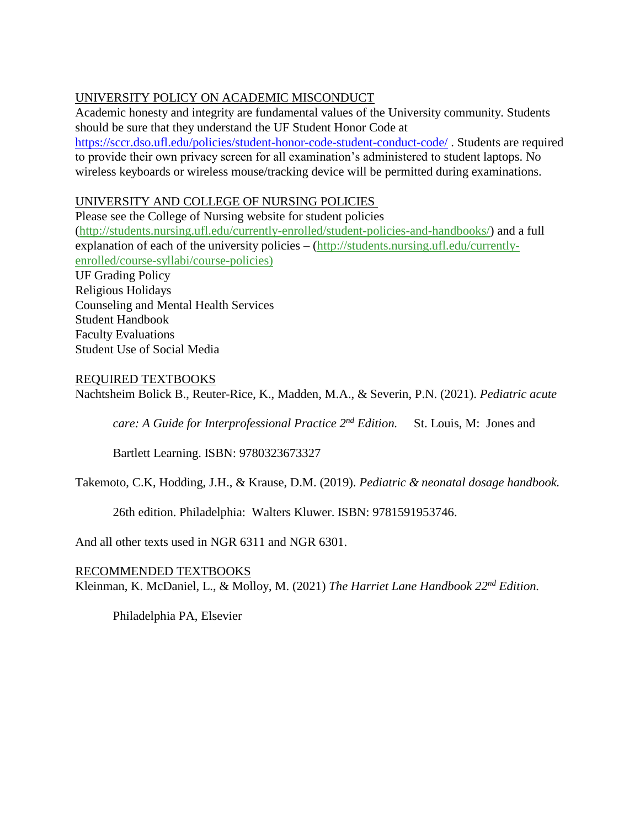# UNIVERSITY POLICY ON ACADEMIC MISCONDUCT

Academic honesty and integrity are fundamental values of the University community. Students should be sure that they understand the UF Student Honor Code at <https://sccr.dso.ufl.edu/policies/student-honor-code-student-conduct-code/> . Students are required to provide their own privacy screen for all examination's administered to student laptops. No wireless keyboards or wireless mouse/tracking device will be permitted during examinations.

# UNIVERSITY AND COLLEGE OF NURSING POLICIES

Please see the College of Nursing website for student policies [\(http://students.nursing.ufl.edu/currently-enrolled/student-policies-and-handbooks/\)](http://students.nursing.ufl.edu/currently-enrolled/student-policies-and-handbooks/) and a full explanation of each of the university policies – [\(http://students.nursing.ufl.edu/currently](http://students.nursing.ufl.edu/currently-enrolled/course-syllabi/course-policies)[enrolled/course-syllabi/course-policies\)](http://students.nursing.ufl.edu/currently-enrolled/course-syllabi/course-policies) UF Grading Policy Religious Holidays Counseling and Mental Health Services Student Handbook Faculty Evaluations Student Use of Social Media

## REQUIRED TEXTBOOKS

Nachtsheim Bolick B., Reuter-Rice, K., Madden, M.A., & Severin, P.N. (2021). *Pediatric acute* 

*care: A Guide for Interprofessional Practice 2nd Edition.* St. Louis, M: Jones and

Bartlett Learning. ISBN: 9780323673327

Takemoto, C.K, Hodding, J.H., & Krause, D.M. (2019). *Pediatric & neonatal dosage handbook.* 

26th edition. Philadelphia: Walters Kluwer. ISBN: 9781591953746.

And all other texts used in NGR 6311 and NGR 6301.

## RECOMMENDED TEXTBOOKS

Kleinman, K. McDaniel, L., & Molloy, M. (2021) *The Harriet Lane Handbook 22nd Edition.* 

Philadelphia PA, Elsevier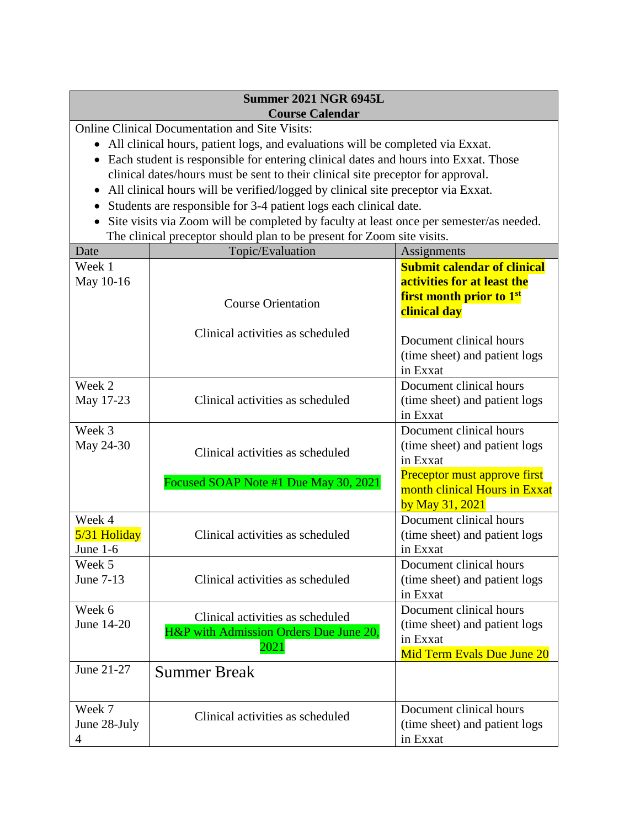### **Summer 2021 NGR 6945L Course Calendar**

Online Clinical Documentation and Site Visits:

- All clinical hours, patient logs, and evaluations will be completed via Exxat.
- Each student is responsible for entering clinical dates and hours into Exxat. Those clinical dates/hours must be sent to their clinical site preceptor for approval.
- All clinical hours will be verified/logged by clinical site preceptor via Exxat.
- Students are responsible for 3-4 patient logs each clinical date.
- Site visits via Zoom will be completed by faculty at least once per semester/as needed. The clinical preceptor should plan to be present for Zoom site visits.

| Date                                     | Topic/Evaluation<br>Assignments                                                    |                                                                                                    |  |  |
|------------------------------------------|------------------------------------------------------------------------------------|----------------------------------------------------------------------------------------------------|--|--|
| Week 1<br>May 10-16                      |                                                                                    | <b>Submit calendar of clinical</b><br>activities for at least the                                  |  |  |
|                                          | <b>Course Orientation</b>                                                          | <b>first month prior to 1st</b><br>clinical day                                                    |  |  |
|                                          | Clinical activities as scheduled                                                   | Document clinical hours<br>(time sheet) and patient logs<br>in Exxat                               |  |  |
| Week 2<br>May 17-23                      | Clinical activities as scheduled                                                   | Document clinical hours<br>(time sheet) and patient logs<br>in Exxat                               |  |  |
| Week 3<br>May 24-30                      | Clinical activities as scheduled                                                   | Document clinical hours<br>(time sheet) and patient logs<br>in Exxat                               |  |  |
|                                          | Focused SOAP Note #1 Due May 30, 2021                                              | Preceptor must approve first<br>month clinical Hours in Exxat<br>by May 31, 2021                   |  |  |
| Week 4<br>5/31 Holiday<br>June $1-6$     | Clinical activities as scheduled                                                   | Document clinical hours<br>(time sheet) and patient logs<br>in Exxat                               |  |  |
| Week 5<br>June 7-13                      | Clinical activities as scheduled                                                   | Document clinical hours<br>(time sheet) and patient logs<br>in Exxat                               |  |  |
| Week 6<br>June 14-20                     | Clinical activities as scheduled<br>H&P with Admission Orders Due June 20,<br>2021 | Document clinical hours<br>(time sheet) and patient logs<br>in Exxat<br>Mid Term Evals Due June 20 |  |  |
| June 21-27                               | <b>Summer Break</b>                                                                |                                                                                                    |  |  |
| Week 7<br>June 28-July<br>$\overline{4}$ | Clinical activities as scheduled                                                   | Document clinical hours<br>(time sheet) and patient logs<br>in Exxat                               |  |  |